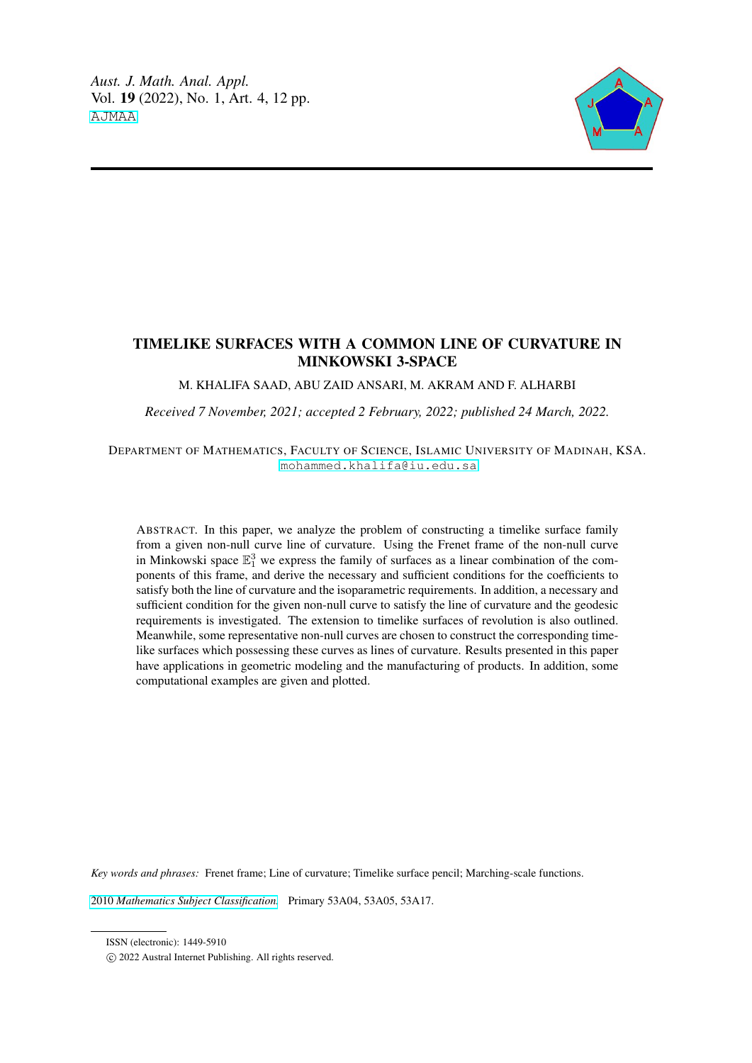

# TIMELIKE SURFACES WITH A COMMON LINE OF CURVATURE IN MINKOWSKI 3-SPACE

M. KHALIFA SAAD, ABU ZAID ANSARI, M. AKRAM AND F. ALHARBI

*Received 7 November, 2021; accepted 2 February, 2022; published 24 March, 2022.*

DEPARTMENT OF MATHEMATICS, FACULTY OF SCIENCE, ISLAMIC UNIVERSITY OF MADINAH, KSA. [mohammed.khalifa@iu.edu.sa](mailto: Author <mohammed.khalifa@iu.edu.sa>)

ABSTRACT. In this paper, we analyze the problem of constructing a timelike surface family from a given non-null curve line of curvature. Using the Frenet frame of the non-null curve in Minkowski space  $\mathbb{E}_1^3$  we express the family of surfaces as a linear combination of the components of this frame, and derive the necessary and sufficient conditions for the coefficients to satisfy both the line of curvature and the isoparametric requirements. In addition, a necessary and sufficient condition for the given non-null curve to satisfy the line of curvature and the geodesic requirements is investigated. The extension to timelike surfaces of revolution is also outlined. Meanwhile, some representative non-null curves are chosen to construct the corresponding timelike surfaces which possessing these curves as lines of curvature. Results presented in this paper have applications in geometric modeling and the manufacturing of products. In addition, some computational examples are given and plotted.

*Key words and phrases:* Frenet frame; Line of curvature; Timelike surface pencil; Marching-scale functions.

2010 *[Mathematics Subject Classification.](https://www.ams.org/msc/)* Primary 53A04, 53A05, 53A17.

ISSN (electronic): 1449-5910

c 2022 Austral Internet Publishing. All rights reserved.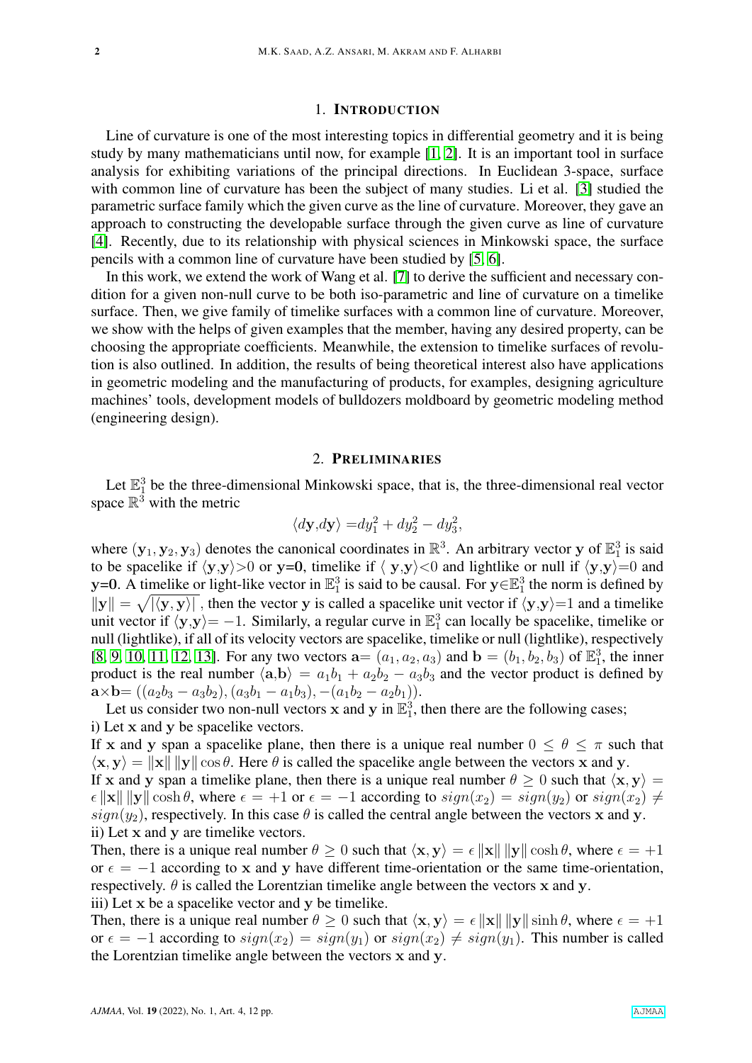## 1. INTRODUCTION

Line of curvature is one of the most interesting topics in differential geometry and it is being study by many mathematicians until now, for example [\[1,](#page-11-0) [2\]](#page-11-1). It is an important tool in surface analysis for exhibiting variations of the principal directions. In Euclidean 3-space, surface with common line of curvature has been the subject of many studies. Li et al. [\[3\]](#page-11-2) studied the parametric surface family which the given curve as the line of curvature. Moreover, they gave an approach to constructing the developable surface through the given curve as line of curvature [\[4\]](#page-11-3). Recently, due to its relationship with physical sciences in Minkowski space, the surface pencils with a common line of curvature have been studied by [\[5,](#page-11-4) [6\]](#page-11-5).

In this work, we extend the work of Wang et al. [\[7\]](#page-11-6) to derive the sufficient and necessary condition for a given non-null curve to be both iso-parametric and line of curvature on a timelike surface. Then, we give family of timelike surfaces with a common line of curvature. Moreover, we show with the helps of given examples that the member, having any desired property, can be choosing the appropriate coefficients. Meanwhile, the extension to timelike surfaces of revolution is also outlined. In addition, the results of being theoretical interest also have applications in geometric modeling and the manufacturing of products, for examples, designing agriculture machines' tools, development models of bulldozers moldboard by geometric modeling method (engineering design).

#### 2. PRELIMINARIES

Let  $\mathbb{E}_1^3$  be the three-dimensional Minkowski space, that is, the three-dimensional real vector space  $\mathbb{R}^3$  with the metric

$$
\langle d\mathbf{y}, d\mathbf{y} \rangle = dy_1^2 + dy_2^2 - dy_3^2,
$$

where  $(y_1, y_2, y_3)$  denotes the canonical coordinates in  $\mathbb{R}^3$ . An arbitrary vector y of  $\mathbb{E}_1^3$  is said to be spacelike if  $\langle y,y\rangle>0$  or y=0, timelike if  $\langle y,y\rangle<0$  and lightlike or null if  $\langle y,y\rangle=0$  and y=0. A timelike or light-like vector in  $\mathbb{E}_1^3$  is said to be causal. For  $y \in \mathbb{E}_1^3$  the norm is defined by  $||y|| = \sqrt{\langle y, y \rangle}$ , then the vector y is called a spacelike unit vector if  $\langle y, y \rangle = 1$  and a timelike unit vector if  $\langle y, y \rangle = -1$ . Similarly, a regular curve in  $\mathbb{E}^3$  can locally be spacelike, timelike or null (lightlike), if all of its velocity vectors are spacelike, timelike or null (lightlike), respectively [\[8,](#page-11-7) [9,](#page-11-8) [10,](#page-11-9) [11,](#page-11-10) [12,](#page-11-11) [13\]](#page-11-12). For any two vectors  $\mathbf{a} = (a_1, a_2, a_3)$  and  $\mathbf{b} = (b_1, b_2, b_3)$  of  $\mathbb{E}_1^3$ , the inner product is the real number  $\langle a,b \rangle = a_1b_1 + a_2b_2 - a_3b_3$  and the vector product is defined by  $\mathbf{a} \times \mathbf{b} = ((a_2b_3 - a_3b_2), (a_3b_1 - a_1b_3), -(a_1b_2 - a_2b_1)).$ 

Let us consider two non-null vectors x and y in  $\mathbb{E}_1^3$ , then there are the following cases; i) Let x and y be spacelike vectors.

If x and y span a spacelike plane, then there is a unique real number  $0 \le \theta \le \pi$  such that  $\langle x, y \rangle = ||x|| ||y|| \cos \theta$ . Here  $\theta$  is called the spacelike angle between the vectors x and y.

If x and y span a timelike plane, then there is a unique real number  $\theta > 0$  such that  $\langle x, y \rangle =$  $\epsilon$  ||x|| ||y|| cosh  $\theta$ , where  $\epsilon = +1$  or  $\epsilon = -1$  according to  $sign(x_2) = sign(y_2)$  or  $sign(x_2) \neq 0$  $sign(y_2)$ , respectively. In this case  $\theta$  is called the central angle between the vectors x and y. ii) Let x and y are timelike vectors.

Then, there is a unique real number  $\theta \ge 0$  such that  $\langle x, y \rangle = \epsilon ||x|| ||y|| \cosh \theta$ , where  $\epsilon = +1$ or  $\epsilon = -1$  according to x and y have different time-orientation or the same time-orientation, respectively.  $\theta$  is called the Lorentzian timelike angle between the vectors x and y. iii) Let x be a spacelike vector and y be timelike.

Then, there is a unique real number  $\theta \geq 0$  such that  $\langle x, y \rangle = \epsilon ||x|| ||y|| \sinh \theta$ , where  $\epsilon = +1$ or  $\epsilon = -1$  according to  $sign(x_2) = sign(y_1)$  or  $sign(x_2) \neq sign(y_1)$ . This number is called the Lorentzian timelike angle between the vectors x and y.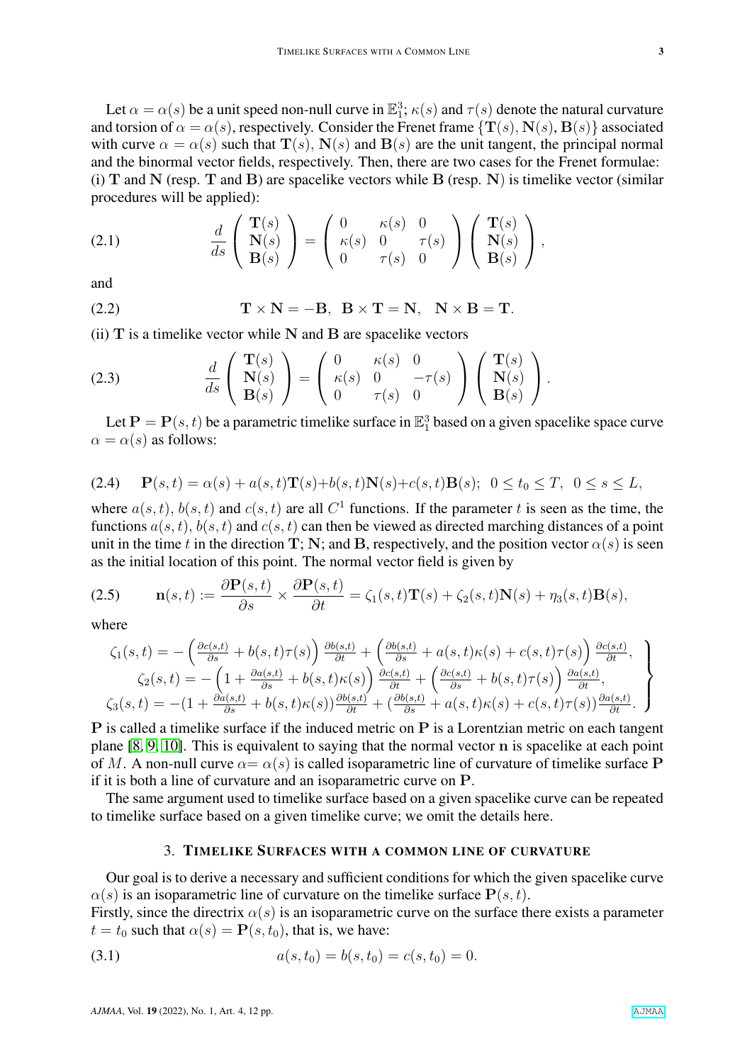Let  $\alpha = \alpha(s)$  be a unit speed non-null curve in  $\mathbb{E}_1^3$ ;  $\kappa(s)$  and  $\tau(s)$  denote the natural curvature and torsion of  $\alpha = \alpha(s)$ , respectively. Consider the Frenet frame  $\{T(s), N(s), B(s)\}\$  associated with curve  $\alpha = \alpha(s)$  such that  $T(s)$ ,  $N(s)$  and  $B(s)$  are the unit tangent, the principal normal and the binormal vector fields, respectively. Then, there are two cases for the Frenet formulae: (i) T and N (resp. T and B) are spacelike vectors while B (resp. N) is timelike vector (similar procedures will be applied):

<span id="page-2-0"></span>(2.1) 
$$
\frac{d}{ds} \begin{pmatrix} \mathbf{T}(s) \\ \mathbf{N}(s) \\ \mathbf{B}(s) \end{pmatrix} = \begin{pmatrix} 0 & \kappa(s) & 0 \\ \kappa(s) & 0 & \tau(s) \\ 0 & \tau(s) & 0 \end{pmatrix} \begin{pmatrix} \mathbf{T}(s) \\ \mathbf{N}(s) \\ \mathbf{B}(s) \end{pmatrix},
$$

and

(2.2) 
$$
\mathbf{T} \times \mathbf{N} = -\mathbf{B}, \ \mathbf{B} \times \mathbf{T} = \mathbf{N}, \ \mathbf{N} \times \mathbf{B} = \mathbf{T}.
$$

(ii)  $T$  is a timelike vector while N and B are spacelike vectors

(2.3) 
$$
\frac{d}{ds} \begin{pmatrix} \mathbf{T}(s) \\ \mathbf{N}(s) \\ \mathbf{B}(s) \end{pmatrix} = \begin{pmatrix} 0 & \kappa(s) & 0 \\ \kappa(s) & 0 & -\tau(s) \\ 0 & \tau(s) & 0 \end{pmatrix} \begin{pmatrix} \mathbf{T}(s) \\ \mathbf{N}(s) \\ \mathbf{B}(s) \end{pmatrix}.
$$

Let  $\mathbf{P} = \mathbf{P}(s, t)$  be a parametric timelike surface in  $\mathbb{E}^3_1$  based on a given spacelike space curve  $\alpha = \alpha(s)$  as follows:

<span id="page-2-1"></span>(2.4) 
$$
\mathbf{P}(s,t) = \alpha(s) + a(s,t)\mathbf{T}(s) + b(s,t)\mathbf{N}(s) + c(s,t)\mathbf{B}(s); \ 0 \le t_0 \le T, \ 0 \le s \le L,
$$

where  $a(s,t)$ ,  $b(s,t)$  and  $c(s,t)$  are all  $C<sup>1</sup>$  functions. If the parameter t is seen as the time, the functions  $a(s, t)$ ,  $b(s, t)$  and  $c(s, t)$  can then be viewed as directed marching distances of a point unit in the time t in the direction T; N; and B, respectively, and the position vector  $\alpha(s)$  is seen as the initial location of this point. The normal vector field is given by

(2.5) 
$$
\mathbf{n}(s,t) := \frac{\partial \mathbf{P}(s,t)}{\partial s} \times \frac{\partial \mathbf{P}(s,t)}{\partial t} = \zeta_1(s,t) \mathbf{T}(s) + \zeta_2(s,t) \mathbf{N}(s) + \eta_3(s,t) \mathbf{B}(s),
$$

where

$$
\zeta_1(s,t) = -\left(\frac{\partial c(s,t)}{\partial s} + b(s,t)\tau(s)\right)\frac{\partial b(s,t)}{\partial t} + \left(\frac{\partial b(s,t)}{\partial s} + a(s,t)\kappa(s) + c(s,t)\tau(s)\right)\frac{\partial c(s,t)}{\partial t},
$$
\n
$$
\zeta_2(s,t) = -\left(1 + \frac{\partial a(s,t)}{\partial s} + b(s,t)\kappa(s)\right)\frac{\partial c(s,t)}{\partial t} + \left(\frac{\partial c(s,t)}{\partial s} + b(s,t)\tau(s)\right)\frac{\partial a(s,t)}{\partial t},
$$
\n
$$
\zeta_3(s,t) = -(1 + \frac{\partial a(s,t)}{\partial s} + b(s,t)\kappa(s))\frac{\partial b(s,t)}{\partial t} + \left(\frac{\partial b(s,t)}{\partial s} + a(s,t)\kappa(s) + c(s,t)\tau(s)\right)\frac{\partial a(s,t)}{\partial t}.
$$

P is called a timelike surface if the induced metric on P is a Lorentzian metric on each tangent plane [\[8,](#page-11-7) [9,](#page-11-8) [10\]](#page-11-9). This is equivalent to saying that the normal vector n is spacelike at each point of M. A non-null curve  $\alpha = \alpha(s)$  is called isoparametric line of curvature of timelike surface P if it is both a line of curvature and an isoparametric curve on P.

The same argument used to timelike surface based on a given spacelike curve can be repeated to timelike surface based on a given timelike curve; we omit the details here.

## 3. TIMELIKE SURFACES WITH A COMMON LINE OF CURVATURE

Our goal is to derive a necessary and sufficient conditions for which the given spacelike curve  $\alpha(s)$  is an isoparametric line of curvature on the timelike surface  $P(s, t)$ .

Firstly, since the directrix  $\alpha(s)$  is an isoparametric curve on the surface there exists a parameter  $t = t_0$  such that  $\alpha(s) = P(s, t_0)$ , that is, we have:

(3.1) 
$$
a(s, t_0) = b(s, t_0) = c(s, t_0) = 0.
$$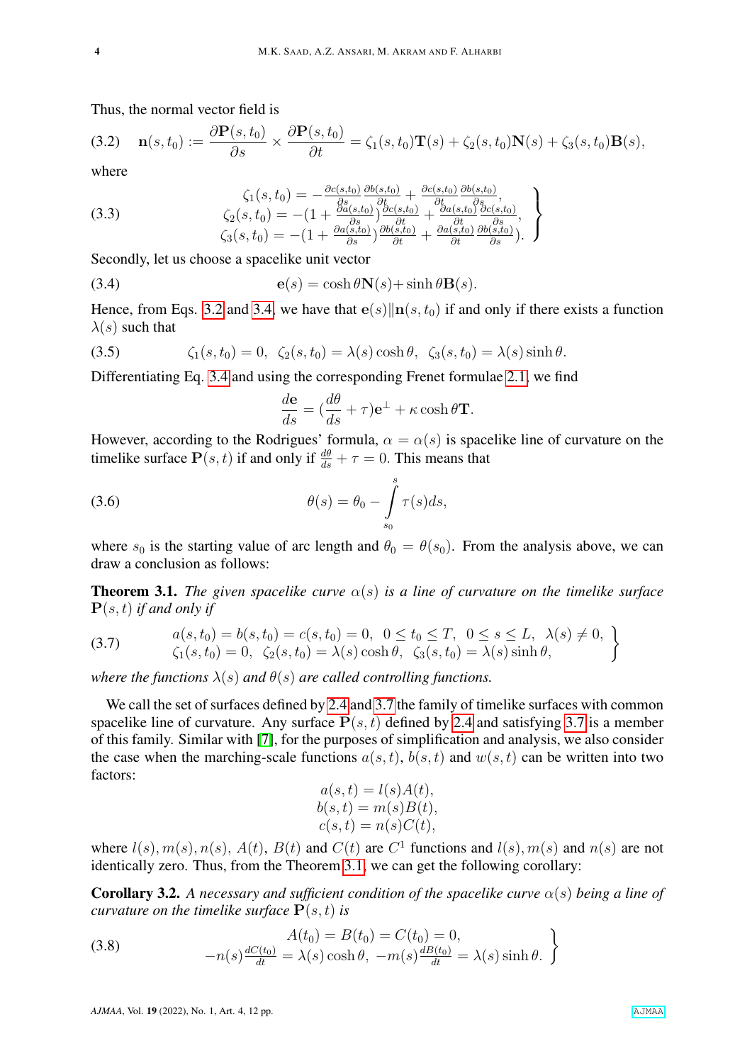Thus, the normal vector field is

<span id="page-3-0"></span>(3.2) 
$$
\mathbf{n}(s,t_0) := \frac{\partial \mathbf{P}(s,t_0)}{\partial s} \times \frac{\partial \mathbf{P}(s,t_0)}{\partial t} = \zeta_1(s,t_0) \mathbf{T}(s) + \zeta_2(s,t_0) \mathbf{N}(s) + \zeta_3(s,t_0) \mathbf{B}(s),
$$

where

(3.3) 
$$
\zeta_1(s,t_0) = -\frac{\partial c(s,t_0)}{\partial s} \frac{\partial b(s,t_0)}{\partial t} + \frac{\partial c(s,t_0)}{\partial t} \frac{\partial b(s,t_0)}{\partial s},
$$

$$
\zeta_2(s,t_0) = -(1 + \frac{\partial a(s,t_0)}{\partial s}) \frac{\partial c(s,t_0)}{\partial t} + \frac{\partial a(s,t_0)}{\partial t} \frac{\partial c(s,t_0)}{\partial s},
$$

$$
\zeta_3(s,t_0) = -(1 + \frac{\partial a(s,t_0)}{\partial s}) \frac{\partial b(s,t_0)}{\partial t} + \frac{\partial a(s,t_0)}{\partial t} \frac{\partial b(s,t_0)}{\partial s}).
$$

Secondly, let us choose a spacelike unit vector

(3.4) 
$$
\mathbf{e}(s) = \cosh \theta \mathbf{N}(s) + \sinh \theta \mathbf{B}(s).
$$

Hence, from Eqs. [3.2](#page-3-0) and [3.4,](#page-3-1) we have that  $e(s)\|n(s, t_0)$  if and only if there exists a function  $\lambda(s)$  such that

(3.5) 
$$
\zeta_1(s,t_0) = 0, \ \zeta_2(s,t_0) = \lambda(s) \cosh \theta, \ \zeta_3(s,t_0) = \lambda(s) \sinh \theta.
$$

Differentiating Eq. [3.4](#page-3-1) and using the corresponding Frenet formulae [2.1,](#page-2-0) we find

<span id="page-3-1"></span>
$$
\frac{d\mathbf{e}}{ds} = \left(\frac{d\theta}{ds} + \tau\right)\mathbf{e}^{\perp} + \kappa \cosh \theta \mathbf{T}.
$$

However, according to the Rodrigues' formula,  $\alpha = \alpha(s)$  is spacelike line of curvature on the timelike surface  $P(s, t)$  if and only if  $\frac{d\theta}{ds} + \tau = 0$ . This means that

(3.6) 
$$
\theta(s) = \theta_0 - \int_{s_0}^{s} \tau(s) ds,
$$

where  $s_0$  is the starting value of arc length and  $\theta_0 = \theta(s_0)$ . From the analysis above, we can draw a conclusion as follows:

<span id="page-3-3"></span>**Theorem 3.1.** *The given spacelike curve*  $\alpha(s)$  *is a line of curvature on the timelike surface* P(s, t) *if and only if*

<span id="page-3-2"></span>(3.7) 
$$
a(s, t_0) = b(s, t_0) = c(s, t_0) = 0, \quad 0 \le t_0 \le T, \quad 0 \le s \le L, \quad \lambda(s) \ne 0, \zeta_1(s, t_0) = 0, \quad \zeta_2(s, t_0) = \lambda(s) \cosh \theta, \quad \zeta_3(s, t_0) = \lambda(s) \sinh \theta,
$$

*where the functions*  $\lambda(s)$  *and*  $\theta(s)$  *are called controlling functions.* 

We call the set of surfaces defined by [2.4](#page-2-1) and [3.7](#page-3-2) the family of timelike surfaces with common spacelike line of curvature. Any surface  $P(s, t)$  defined by [2.4](#page-2-1) and satisfying [3.7](#page-3-2) is a member of this family. Similar with [\[7\]](#page-11-6), for the purposes of simplification and analysis, we also consider the case when the marching-scale functions  $a(s, t)$ ,  $b(s, t)$  and  $w(s, t)$  can be written into two factors:

$$
a(s,t) = l(s)A(t),
$$
  
\n
$$
b(s,t) = m(s)B(t),
$$
  
\n
$$
c(s,t) = n(s)C(t),
$$

where  $l(s)$ ,  $m(s)$ ,  $n(s)$ ,  $A(t)$ ,  $B(t)$  and  $C(t)$  are  $C<sup>1</sup>$  functions and  $l(s)$ ,  $m(s)$  and  $n(s)$  are not identically zero. Thus, from the Theorem [3.1,](#page-3-3) we can get the following corollary:

**Corollary 3.2.** A necessary and sufficient condition of the spacelike curve  $\alpha(s)$  being a line of *curvature on the timelike surface*  $P(s, t)$  *is* 

<span id="page-3-4"></span>(3.8) 
$$
A(t_0) = B(t_0) = C(t_0) = 0,
$$

$$
-n(s) \frac{dC(t_0)}{dt} = \lambda(s) \cosh \theta, \ -m(s) \frac{dB(t_0)}{dt} = \lambda(s) \sinh \theta.
$$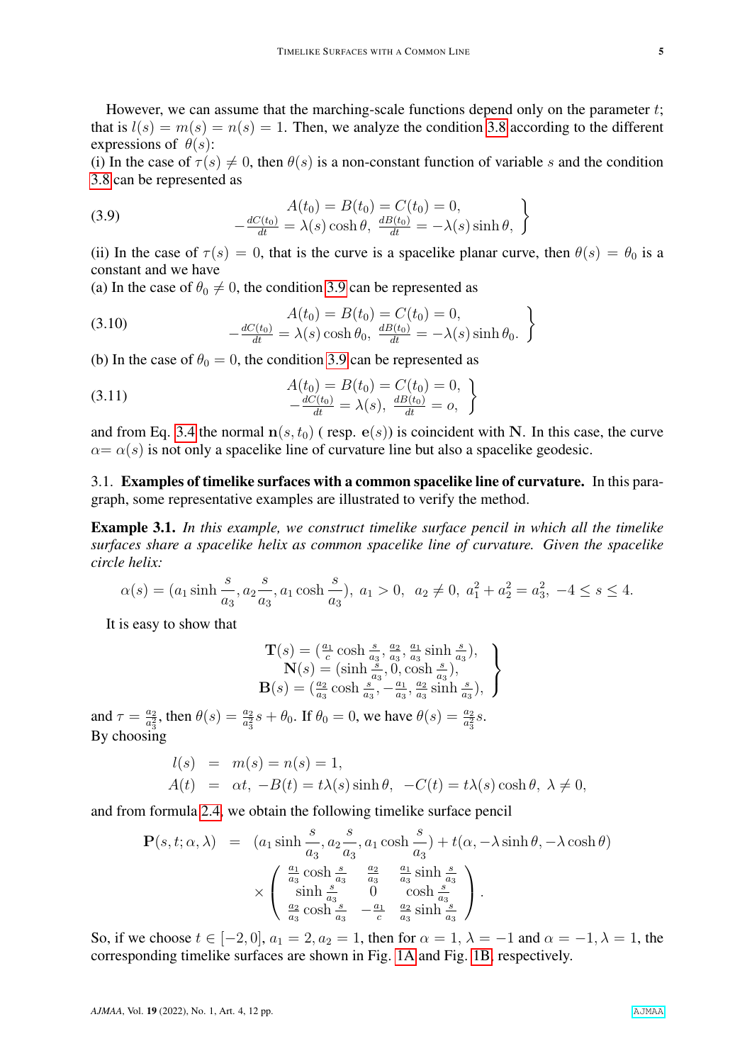However, we can assume that the marching-scale functions depend only on the parameter  $t$ ; that is  $l(s) = m(s) = n(s) = 1$ . Then, we analyze the condition [3.8](#page-3-4) according to the different expressions of  $\theta(s)$ :

(i) In the case of  $\tau(s) \neq 0$ , then  $\theta(s)$  is a non-constant function of variable s and the condition [3.8](#page-3-4) can be represented as

<span id="page-4-0"></span>(3.9) 
$$
A(t_0) = B(t_0) = C(t_0) = 0,
$$

$$
- \frac{dC(t_0)}{dt} = \lambda(s) \cosh \theta, \frac{dB(t_0)}{dt} = -\lambda(s) \sinh \theta,
$$

(ii) In the case of  $\tau(s) = 0$ , that is the curve is a spacelike planar curve, then  $\theta(s) = \theta_0$  is a constant and we have

(a) In the case of  $\theta_0 \neq 0$ , the condition [3.9](#page-4-0) can be represented as

(3.10) 
$$
A(t_0) = B(t_0) = C(t_0) = 0,
$$

$$
-\frac{dC(t_0)}{dt} = \lambda(s) \cosh \theta_0, \frac{dB(t_0)}{dt} = -\lambda(s) \sinh \theta_0.
$$

(b) In the case of  $\theta_0 = 0$ , the condition [3.9](#page-4-0) can be represented as

(3.11) 
$$
A(t_0) = B(t_0) = C(t_0) = 0,-\frac{dC(t_0)}{dt} = \lambda(s), \frac{dB(t_0)}{dt} = o,
$$

and from Eq. [3.4](#page-3-1) the normal  $n(s, t_0)$  (resp.  $e(s)$ ) is coincident with N. In this case, the curve  $\alpha = \alpha(s)$  is not only a spacelike line of curvature line but also a spacelike geodesic.

3.1. Examples of timelike surfaces with a common spacelike line of curvature. In this paragraph, some representative examples are illustrated to verify the method.

Example 3.1. *In this example, we construct timelike surface pencil in which all the timelike surfaces share a spacelike helix as common spacelike line of curvature. Given the spacelike circle helix:*

$$
\alpha(s) = (a_1 \sinh \frac{s}{a_3}, a_2 \frac{s}{a_3}, a_1 \cosh \frac{s}{a_3}), a_1 > 0, a_2 \neq 0, a_1^2 + a_2^2 = a_3^2, -4 \le s \le 4.
$$

It is easy to show that

$$
\mathbf{T}(s) = \left(\frac{a_1}{c}\cosh\frac{s}{a_3}, \frac{a_2}{a_3}, \frac{a_1}{a_3}\sinh\frac{s}{a_3}\right),
$$
  
\n
$$
\mathbf{N}(s) = (\sinh\frac{s}{a_3}, 0, \cosh\frac{s}{a_3}),
$$
  
\n
$$
\mathbf{B}(s) = \left(\frac{a_2}{a_3}\cosh\frac{s}{a_3}, -\frac{a_1}{a_3}, \frac{a_2}{a_3}\sinh\frac{s}{a_3}\right),
$$

and  $\tau = \frac{a_2}{a^2}$  $\frac{a_2}{a_3^2}$ , then  $\theta(s) = \frac{a_2}{a_3^2} s + \theta_0$ . If  $\theta_0 = 0$ , we have  $\theta(s) = \frac{a_2}{a_3^2} s$ . By choosing

$$
l(s) = m(s) = n(s) = 1,
$$
  
\n
$$
A(t) = \alpha t, -B(t) = t\lambda(s)\sinh\theta, -C(t) = t\lambda(s)\cosh\theta, \lambda \neq 0,
$$

and from formula [2.4,](#page-2-1) we obtain the following timelike surface pencil

$$
\mathbf{P}(s,t;\alpha,\lambda) = (a_1 \sinh \frac{s}{a_3}, a_2 \frac{s}{a_3}, a_1 \cosh \frac{s}{a_3}) + t(\alpha, -\lambda \sinh \theta, -\lambda \cosh \theta)
$$

$$
\times \begin{pmatrix} \frac{a_1}{a_3} \cosh \frac{s}{a_3} & \frac{a_2}{a_3} & \frac{a_1}{a_3} \sinh \frac{s}{a_3} \\ \sinh \frac{s}{a_3} & 0 & \cosh \frac{s}{a_3} \\ \frac{a_2}{a_3} \cosh \frac{s}{a_3} & -\frac{a_1}{c} & \frac{a_2}{a_3} \sinh \frac{s}{a_3} \end{pmatrix}.
$$

So, if we choose  $t \in [-2, 0]$ ,  $a_1 = 2$ ,  $a_2 = 1$ , then for  $\alpha = 1$ ,  $\lambda = -1$  and  $\alpha = -1$ ,  $\lambda = 1$ , the corresponding timelike surfaces are shown in Fig. [1A](#page-5-0) and Fig. [1B,](#page-5-0) respectively.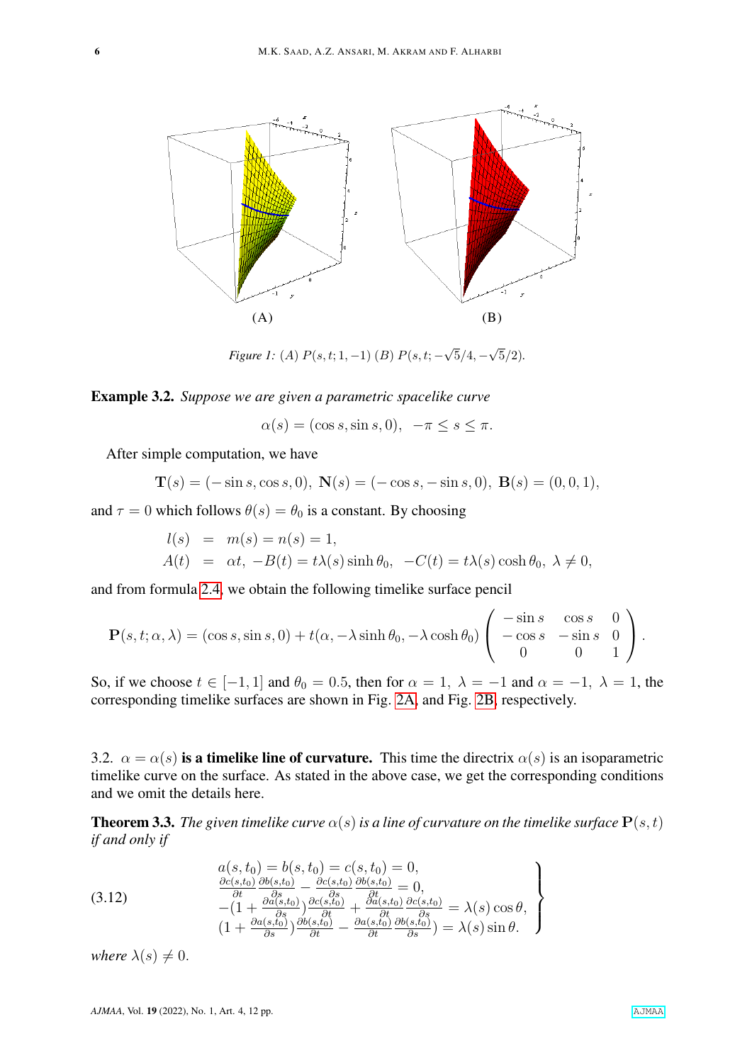<span id="page-5-0"></span>

*Figure 1:* (*A*)  $P(s,t;1,-1)$  (*B*)  $P(s,t; 5/4, -$ 5/2)*.*

## Example 3.2. *Suppose we are given a parametric spacelike curve*

 $\alpha(s) = (\cos s, \sin s, 0), -\pi \leq s \leq \pi.$ 

After simple computation, we have

$$
\mathbf{T}(s) = (-\sin s, \cos s, 0), \ \mathbf{N}(s) = (-\cos s, -\sin s, 0), \ \mathbf{B}(s) = (0, 0, 1),
$$

and  $\tau = 0$  which follows  $\theta(s) = \theta_0$  is a constant. By choosing

$$
l(s) = m(s) = n(s) = 1,
$$
  
\n
$$
A(t) = \alpha t, -B(t) = t\lambda(s) \sinh \theta_0, -C(t) = t\lambda(s) \cosh \theta_0, \lambda \neq 0,
$$

and from formula [2.4,](#page-2-1) we obtain the following timelike surface pencil

$$
\mathbf{P}(s,t;\alpha,\lambda)=(\cos s,\sin s,0)+t(\alpha,-\lambda\sinh\theta_0,-\lambda\cosh\theta_0)\left(\begin{array}{ccc}-\sin s&\cos s&0\\-\cos s&-\sin s&0\\0&0&1\end{array}\right).
$$

So, if we choose  $t \in [-1, 1]$  and  $\theta_0 = 0.5$ , then for  $\alpha = 1$ ,  $\lambda = -1$  and  $\alpha = -1$ ,  $\lambda = 1$ , the corresponding timelike surfaces are shown in Fig. [2A,](#page-6-0) and Fig. [2B,](#page-6-0) respectively.

3.2.  $\alpha = \alpha(s)$  is a timelike line of curvature. This time the directrix  $\alpha(s)$  is an isoparametric timelike curve on the surface. As stated in the above case, we get the corresponding conditions and we omit the details here.

**Theorem 3.3.** *The given timelike curve*  $\alpha(s)$  *is a line of curvature on the timelike surface*  $P(s,t)$ *if and only if*

(3.12) 
$$
\begin{array}{c}\n a(s, t_0) = b(s, t_0) = c(s, t_0) = 0, \\
\frac{\partial c(s, t_0)}{\partial t} \frac{\partial b(s, t_0)}{\partial s} - \frac{\partial c(s, t_0)}{\partial s} \frac{\partial b(s, t_0)}{\partial t} = 0, \\
-(1 + \frac{\partial a(s, t_0)}{\partial s}) \frac{\partial c(s, t_0)}{\partial t} + \frac{\partial a(s, t_0)}{\partial t} \frac{\partial c(s, t_0)}{\partial s} = \lambda(s) \cos \theta, \\
(1 + \frac{\partial a(s, t_0)}{\partial s}) \frac{\partial b(s, t_0)}{\partial t} - \frac{\partial a(s, t_0)}{\partial t} \frac{\partial b(s, t_0)}{\partial s} = \lambda(s) \sin \theta.\n \end{array}
$$

*where*  $\lambda(s) \neq 0$ .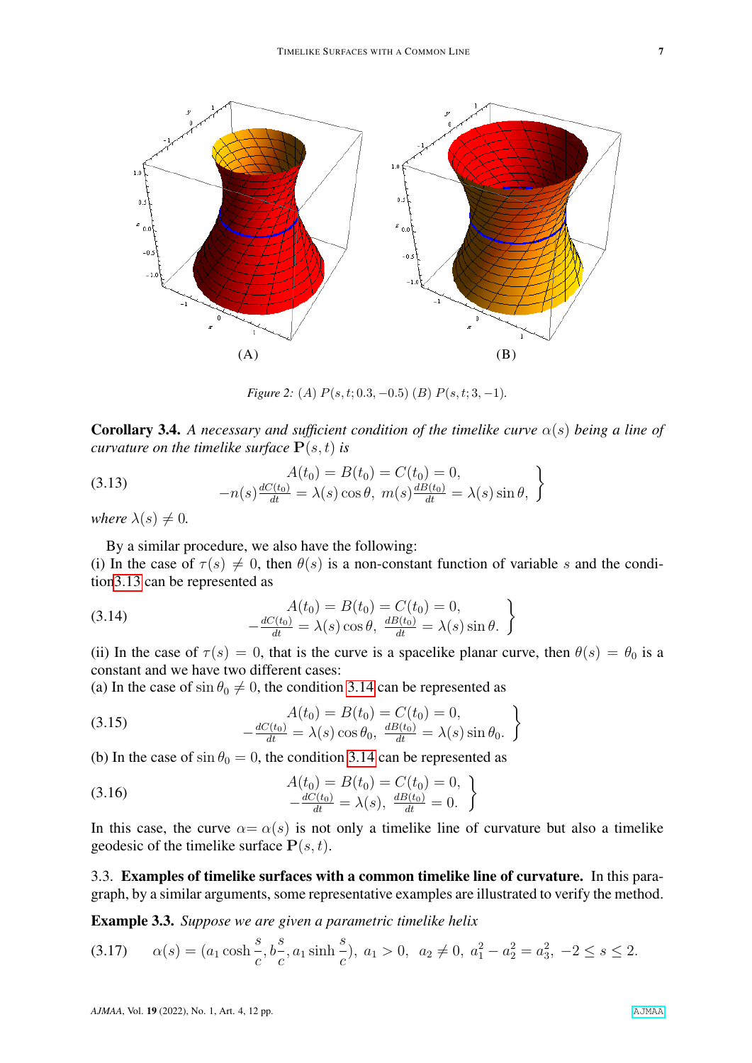<span id="page-6-0"></span>

<span id="page-6-1"></span>*Figure 2:* (*A*)  $P(s, t; 0.3, -0.5)$  (*B*)  $P(s, t; 3, -1)$ *.* 

**Corollary 3.4.** A necessary and sufficient condition of the timelike curve  $\alpha(s)$  being a line of *curvature on the timelike surface*  $P(s, t)$  *is* 

(3.13) 
$$
A(t_0) = B(t_0) = C(t_0) = 0,
$$

$$
-n(s) \frac{dC(t_0)}{dt} = \lambda(s) \cos \theta, \ m(s) \frac{dB(t_0)}{dt} = \lambda(s) \sin \theta,
$$

*where*  $\lambda(s) \neq 0$ *.* 

By a similar procedure, we also have the following:

(i) In the case of  $\tau(s) \neq 0$ , then  $\theta(s)$  is a non-constant function of variable s and the conditio[n3.13](#page-6-1) can be represented as

<span id="page-6-2"></span>(3.14) 
$$
A(t_0) = B(t_0) = C(t_0) = 0,
$$

$$
-\frac{dC(t_0)}{dt} = \lambda(s) \cos \theta, \frac{dB(t_0)}{dt} = \lambda(s) \sin \theta.
$$

(ii) In the case of  $\tau(s) = 0$ , that is the curve is a spacelike planar curve, then  $\theta(s) = \theta_0$  is a constant and we have two different cases:

(a) In the case of  $\sin \theta_0 \neq 0$ , the condition [3.14](#page-6-2) can be represented as

(3.15) 
$$
A(t_0) = B(t_0) = C(t_0) = 0,
$$

$$
-\frac{dC(t_0)}{dt} = \lambda(s) \cos \theta_0, \frac{dB(t_0)}{dt} = \lambda(s) \sin \theta_0.
$$

(b) In the case of  $\sin \theta_0 = 0$ , the condition [3.14](#page-6-2) can be represented as

(3.16) 
$$
A(t_0) = B(t_0) = C(t_0) = 0,-\frac{dC(t_0)}{dt} = \lambda(s), \frac{dB(t_0)}{dt} = 0.
$$

In this case, the curve  $\alpha = \alpha(s)$  is not only a timelike line of curvature but also a timelike geodesic of the timelike surface  $P(s, t)$ .

3.3. Examples of timelike surfaces with a common timelike line of curvature. In this paragraph, by a similar arguments, some representative examples are illustrated to verify the method.

Example 3.3. *Suppose we are given a parametric timelike helix*

$$
(3.17) \qquad \alpha(s) = (a_1 \cosh \frac{s}{c}, b\frac{s}{c}, a_1 \sinh \frac{s}{c}), \ a_1 > 0, \ a_2 \neq 0, \ a_1^2 - a_2^2 = a_3^2, \ -2 \le s \le 2.
$$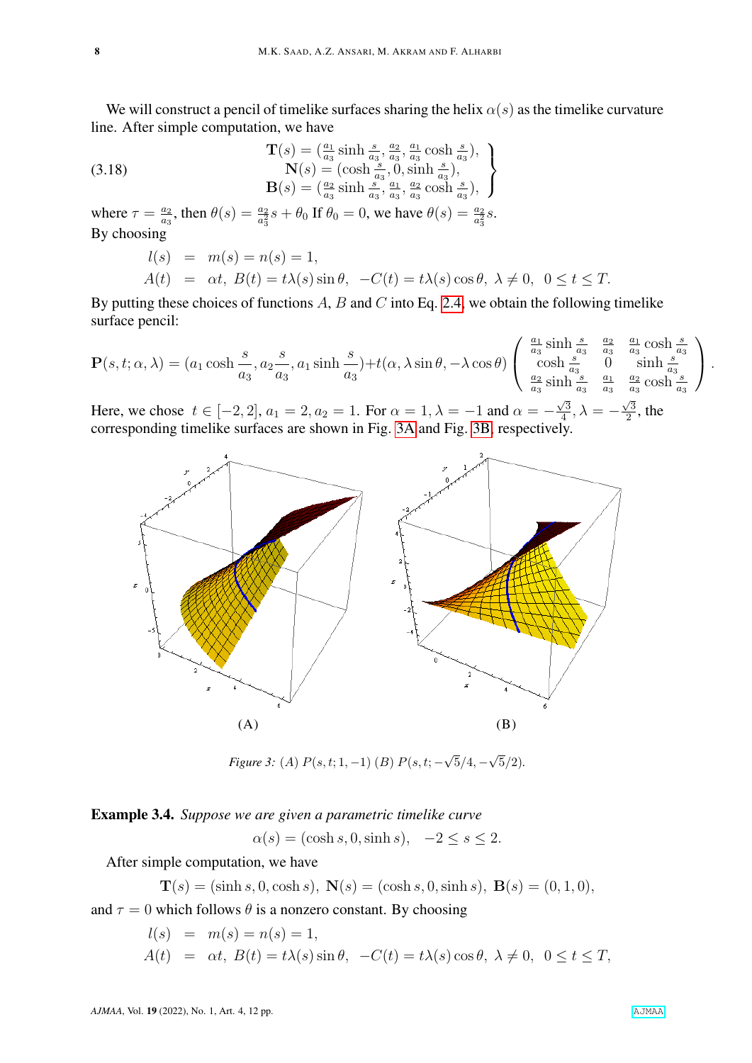We will construct a pencil of timelike surfaces sharing the helix  $\alpha(s)$  as the timelike curvature line. After simple computation, we have

(3.18) 
$$
\mathbf{T}(s) = \left(\frac{a_1}{a_3}\sinh\frac{s}{a_3}, \frac{a_2}{a_3}, \frac{a_1}{a_3}\cosh\frac{s}{a_3}\right), \n\mathbf{N}(s) = (\cosh\frac{s}{a_3}, 0, \sinh\frac{s}{a_3})\n\mathbf{B}(s) = \left(\frac{a_2}{a_3}\sinh\frac{s}{a_3}, \frac{a_1}{a_3}, \frac{a_2}{a_3}\cosh\frac{s}{a_3}\right),
$$

where  $\tau = \frac{a_2}{a_2}$  $\frac{a_2}{a_3}$ , then  $\theta(s) = \frac{a_2}{a_3^2}s + \theta_0$  If  $\theta_0 = 0$ , we have  $\theta(s) = \frac{a_2}{a_3^2}s$ . By choosing

$$
l(s) = m(s) = n(s) = 1,
$$
  
\n
$$
A(t) = \alpha t, B(t) = t\lambda(s)\sin\theta, -C(t) = t\lambda(s)\cos\theta, \lambda \neq 0, 0 \le t \le T.
$$

By putting these choices of functions  $A$ ,  $B$  and  $C$  into Eq. [2.4,](#page-2-1) we obtain the following timelike surface pencil:

$$
\mathbf{P}(s,t;\alpha,\lambda)=(a_1\cosh\frac{s}{a_3},a_2\frac{s}{a_3},a_1\sinh\frac{s}{a_3})+t(\alpha,\lambda\sin\theta,-\lambda\cos\theta)\left(\begin{array}{ccc}\frac{a_1}{a_3}\sinh\frac{s}{a_3}&\frac{a_2}{a_3}&\frac{a_1}{a_3}\cosh\frac{s}{a_3}\\ \cosh\frac{s}{a_3}&0&\sinh\frac{s}{a_3}\\ \frac{a_2}{a_3}\sinh\frac{s}{a_3}&\frac{a_1}{a_3}&\frac{a_2}{a_3}\cosh\frac{s}{a_3}\end{array}\right).
$$

Here, we chose  $t \in [-2, 2], a_1 = 2, a_2 = 1$ . For  $\alpha = 1, \lambda = -1$  and  $\alpha = -1$  $\sqrt{3}$  $\frac{\sqrt{3}}{4}, \lambda = \sqrt{3}$  $\frac{\sqrt{3}}{2}$ , the corresponding timelike surfaces are shown in Fig. [3A](#page-7-0) and Fig. [3B,](#page-7-0) respectively.

<span id="page-7-0"></span>

*Figure 3:* (*A*)  $P(s,t;1,-1)$  (*B*)  $P(s,t;-$ √  $5/4, -$ √ 5/2)*.*

Example 3.4. *Suppose we are given a parametric timelike curve*

 $\alpha(s) = (\cosh s, 0, \sinh s), -2 \leq s \leq 2.$ 

After simple computation, we have

$$
\mathbf{T}(s) = (\sinh s, 0, \cosh s), \ \mathbf{N}(s) = (\cosh s, 0, \sinh s), \ \mathbf{B}(s) = (0, 1, 0),
$$

and  $\tau = 0$  which follows  $\theta$  is a nonzero constant. By choosing

$$
l(s) = m(s) = n(s) = 1,
$$
  
\n
$$
A(t) = \alpha t, B(t) = t\lambda(s)\sin\theta, -C(t) = t\lambda(s)\cos\theta, \lambda \neq 0, 0 \le t \le T,
$$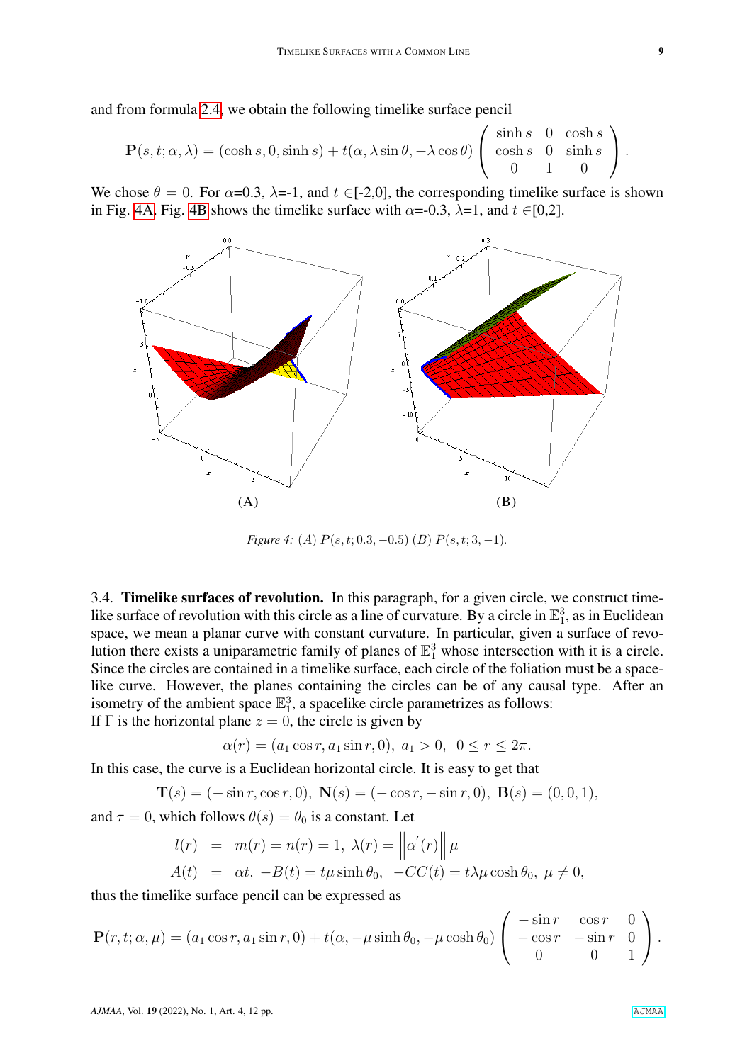and from formula [2.4,](#page-2-1) we obtain the following timelike surface pencil

$$
\mathbf{P}(s,t;\alpha,\lambda) = (\cosh s, 0, \sinh s) + t(\alpha, \lambda \sin \theta, -\lambda \cos \theta) \begin{pmatrix} \sinh s & 0 & \cosh s \\ \cosh s & 0 & \sinh s \\ 0 & 1 & 0 \end{pmatrix}.
$$

We chose  $\theta = 0$ . For  $\alpha = 0.3$ ,  $\lambda = -1$ , and  $t \in [-2,0]$ , the corresponding timelike surface is shown in Fig. [4A.](#page-8-0) Fig. [4B](#page-8-0) shows the timelike surface with  $\alpha$ =-0.3,  $\lambda$ =1, and  $t \in [0,2]$ .

<span id="page-8-0"></span>

*Figure 4:* (*A*)  $P(s, t; 0.3, -0.5)$  (*B*)  $P(s, t; 3, -1)$ *.* 

3.4. Timelike surfaces of revolution. In this paragraph, for a given circle, we construct timelike surface of revolution with this circle as a line of curvature. By a circle in  $\mathbb{E}^3_1$ , as in Euclidean space, we mean a planar curve with constant curvature. In particular, given a surface of revolution there exists a uniparametric family of planes of  $\mathbb{E}^3_1$  whose intersection with it is a circle. Since the circles are contained in a timelike surface, each circle of the foliation must be a spacelike curve. However, the planes containing the circles can be of any causal type. After an isometry of the ambient space  $\mathbb{E}_1^3$ , a spacelike circle parametrizes as follows: If  $\Gamma$  is the horizontal plane  $z = 0$ , the circle is given by

$$
\alpha(r) = (a_1 \cos r, a_1 \sin r, 0), \ a_1 > 0, \ 0 \le r \le 2\pi.
$$

In this case, the curve is a Euclidean horizontal circle. It is easy to get that

$$
\mathbf{T}(s) = (-\sin r, \cos r, 0), \ \mathbf{N}(s) = (-\cos r, -\sin r, 0), \ \mathbf{B}(s) = (0, 0, 1),
$$

and  $\tau = 0$ , which follows  $\theta(s) = \theta_0$  is a constant. Let

$$
l(r) = m(r) = n(r) = 1, \ \lambda(r) = ||\alpha'(r)|| \ \mu
$$
  

$$
A(t) = \alpha t, \ -B(t) = t\mu \sinh \theta_0, \ -CC(t) = t\lambda\mu \cosh \theta_0, \ \mu \neq 0,
$$

thus the timelike surface pencil can be expressed as

$$
\mathbf{P}(r,t;\alpha,\mu) = (a_1 \cos r, a_1 \sin r, 0) + t(\alpha, -\mu \sinh \theta_0, -\mu \cosh \theta_0) \begin{pmatrix} -\sin r & \cos r & 0 \\ -\cos r & -\sin r & 0 \\ 0 & 0 & 1 \end{pmatrix}.
$$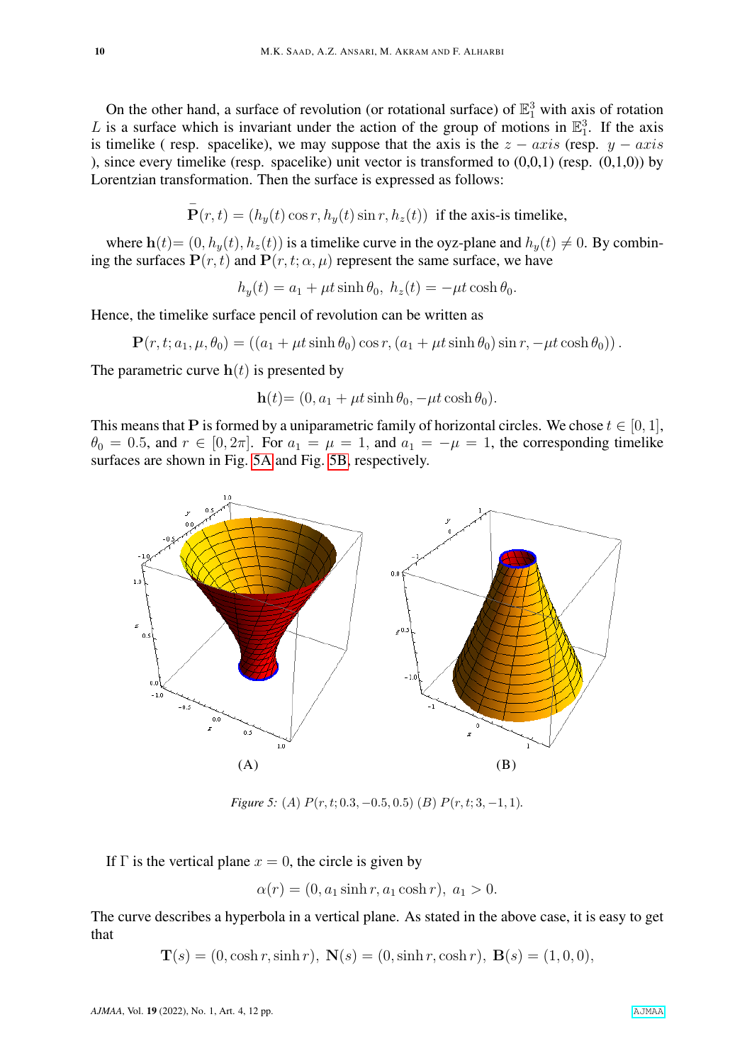On the other hand, a surface of revolution (or rotational surface) of  $\mathbb{E}^3$  with axis of rotation L is a surface which is invariant under the action of the group of motions in  $\mathbb{E}^3_1$ . If the axis is timelike ( resp. spacelike), we may suppose that the axis is the  $z - axis$  (resp.  $y - axis$ ), since every timelike (resp. spacelike) unit vector is transformed to  $(0,0,1)$  (resp.  $(0,1,0)$ ) by Lorentzian transformation. Then the surface is expressed as follows:

$$
\bar{\mathbf{P}}(r,t) = (h_y(t)\cos r, h_y(t)\sin r, h_z(t))
$$
 if the axis-is timelike,

where  $h(t)=(0, h_y(t), h_z(t))$  is a timelike curve in the oyz-plane and  $h_y(t) \neq 0$ . By combining the surfaces  $P(r, t)$  and  $P(r, t; \alpha, \mu)$  represent the same surface, we have

 $h_y(t) = a_1 + \mu t \sinh \theta_0$ ,  $h_z(t) = -\mu t \cosh \theta_0$ .

Hence, the timelike surface pencil of revolution can be written as

$$
\mathbf{P}(r,t;a_1,\mu,\theta_0) = ((a_1 + \mu t \sinh \theta_0) \cos r, (a_1 + \mu t \sinh \theta_0) \sin r, -\mu t \cosh \theta_0))
$$

The parametric curve  $h(t)$  is presented by

$$
\mathbf{h}(t) = (0, a_1 + \mu t \sinh \theta_0, -\mu t \cosh \theta_0).
$$

This means that P is formed by a uniparametric family of horizontal circles. We chose  $t \in [0, 1]$ ,  $\theta_0 = 0.5$ , and  $r \in [0, 2\pi]$ . For  $a_1 = \mu = 1$ , and  $a_1 = -\mu = 1$ , the corresponding timelike surfaces are shown in Fig. [5A](#page-9-0) and Fig. [5B,](#page-9-0) respectively.

<span id="page-9-0"></span>

*Figure 5:* (*A*)  $P(r, t; 0.3, -0.5, 0.5)$  (*B*)  $P(r, t; 3, -1, 1)$ *.* 

If  $\Gamma$  is the vertical plane  $x = 0$ , the circle is given by

 $\alpha(r) = (0, a_1 \sinh r, a_1 \cosh r), a_1 > 0.$ 

The curve describes a hyperbola in a vertical plane. As stated in the above case, it is easy to get that

 $\mathbf{T}(s) = (0, \cosh r, \sinh r), \mathbf{N}(s) = (0, \sinh r, \cosh r), \mathbf{B}(s) = (1, 0, 0),$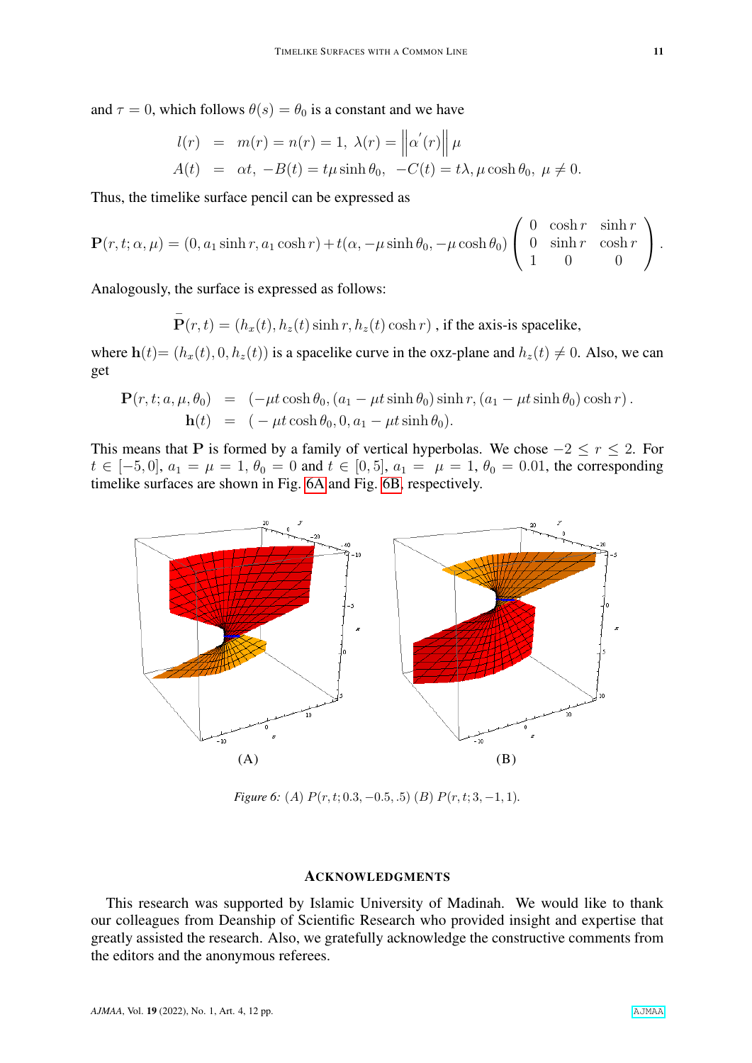and  $\tau = 0$ , which follows  $\theta(s) = \theta_0$  is a constant and we have

$$
l(r) = m(r) = n(r) = 1, \ \lambda(r) = ||\alpha'(r)|| \mu
$$
  
 
$$
A(t) = \alpha t, \ -B(t) = t\mu \sinh \theta_0, \ -C(t) = t\lambda, \mu \cosh \theta_0, \ \mu \neq 0.
$$

 $\bar{a}$ 

 $\mathbf{u}$ 

Thus, the timelike surface pencil can be expressed as

$$
\mathbf{P}(r,t;\alpha,\mu) = (0, a_1 \sinh r, a_1 \cosh r) + t(\alpha, -\mu \sinh \theta_0, -\mu \cosh \theta_0) \begin{pmatrix} 0 & \cosh r & \sinh r \\ 0 & \sinh r & \cosh r \\ 1 & 0 & 0 \end{pmatrix}.
$$

Analogously, the surface is expressed as follows:

$$
\bar{\mathbf{P}}(r,t) = (h_x(t), h_z(t) \sinh r, h_z(t) \cosh r)
$$
, if the axis-is spacelike,

where  $h(t) = (h_x(t), 0, h_z(t))$  is a spacelike curve in the oxz-plane and  $h_z(t) \neq 0$ . Also, we can get

$$
\mathbf{P}(r, t; a, \mu, \theta_0) = (-\mu t \cosh \theta_0, (a_1 - \mu t \sinh \theta_0) \sinh r, (a_1 - \mu t \sinh \theta_0) \cosh r).
$$
  
\n
$$
\mathbf{h}(t) = (-\mu t \cosh \theta_0, 0, a_1 - \mu t \sinh \theta_0).
$$

This means that P is formed by a family of vertical hyperbolas. We chose  $-2 < r < 2$ . For  $t \in [-5, 0], a_1 = \mu = 1, \theta_0 = 0$  and  $t \in [0, 5], a_1 = \mu = 1, \theta_0 = 0.01$ , the corresponding timelike surfaces are shown in Fig. [6A](#page-10-0) and Fig. [6B,](#page-10-0) respectively.

<span id="page-10-0"></span>

*Figure 6:* (*A*)  $P(r, t; 0.3, -0.5, .5)$  (*B*)  $P(r, t; 3, -1, 1)$ *.* 

### **ACKNOWLEDGMENTS**

This research was supported by Islamic University of Madinah. We would like to thank our colleagues from Deanship of Scientific Research who provided insight and expertise that greatly assisted the research. Also, we gratefully acknowledge the constructive comments from the editors and the anonymous referees.